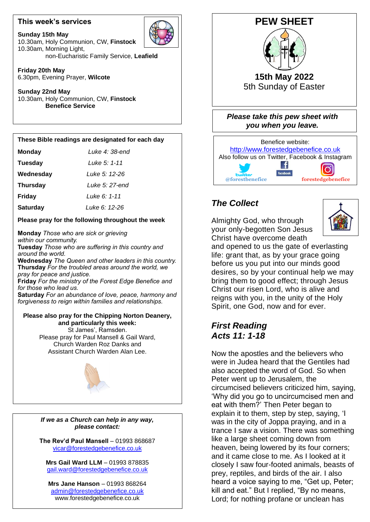### **This week's services**



**Sunday 15th May** 10.30am, Holy Communion, CW, **Finstock** 10.30am, Morning Light, non-Eucharistic Family Service, **Leafield**

**Friday 20th May** 6.30pm, Evening Prayer, **Wilcote**

**Sunday 22nd May** 10.30am, Holy Communion, CW, **Finstock Benefice Service**

#### **These Bible readings are designated for each day**

| <b>Monday</b> | Luke 4: 38-ena |
|---------------|----------------|
|               |                |

| <b>Tuesday</b> | Luke 5: 1-11 |
|----------------|--------------|
|----------------|--------------|

 **Wednesday** *Luke 5: 12-26* Luke 5: 12-26

**Thursday** *Luke 5: 27-end*

**Friday** *Luke 6: 1-11*

**Saturday** *Luke 6: 12-26*

### **Please pray for the following throughout the week**

**Monday** *Those who are sick or grieving within our community.* **Tuesday** *Those who are suffering in this country and around the world.* **Wednesday** *The Queen and other leaders in this country.* **Thursday** *For the troubled areas around the world, we pray for peace and justice.* **Friday** *For the ministry of the Forest Edge Benefice and for those who lead us.* **Saturday** *For an abundance of love, peace, harmony and*

#### **Please also pray for the Chipping Norton Deanery,** Church Warden Roz Danks and **and particularly this week:** St James', Ramsden. Please pray for Paul Mansell & Gail Ward, Assistant Church Warden Alan Lee.

*forgiveness to reign within families and relationships.*



*If we as a Church can help in any way, please contact:*

**The Rev'd Paul Mansell** – 01993 868687 [vicar@forestedgebenefice.co.uk](mailto:vicar@forestedgebenefice.co.uk)

**Mrs Gail Ward LLM** – 01993 878835 [gail.ward@forestedgebenefice.co.uk](mailto:gail.ward@forestedgebenefice.co.uk)

**Mrs Jane Hanson** – 01993 868264 [admin@forestedgebenefice.co.uk](mailto:admin@forestedgebenefice.co.uk) www.forestedgebenefice.co.uk





## *The Collect*

Almighty God, who through your only-begotten Son Jesus Christ have overcome death



and opened to us the gate of everlasting life: grant that, as by your grace going before us you put into our minds good desires, so by your continual help we may bring them to good effect; through Jesus Christ our risen Lord, who is alive and reigns with you, in the unity of the Holy Spirit, one God, now and for ever.

## *First Reading Acts 11: 1-18*

Now the apostles and the believers who were in Judea heard that the Gentiles had also accepted the word of God. So when Peter went up to Jerusalem, the circumcised believers criticized him, saying, 'Why did you go to uncircumcised men and eat with them?' Then Peter began to explain it to them, step by step, saying, 'I was in the city of Joppa praying, and in a trance I saw a vision. There was something like a large sheet coming down from heaven, being lowered by its four corners; and it came close to me. As I looked at it closely I saw four-footed animals, beasts of prey, reptiles, and birds of the air. I also heard a voice saying to me, "Get up, Peter; kill and eat." But I replied, "By no means, Lord; for nothing profane or unclean has